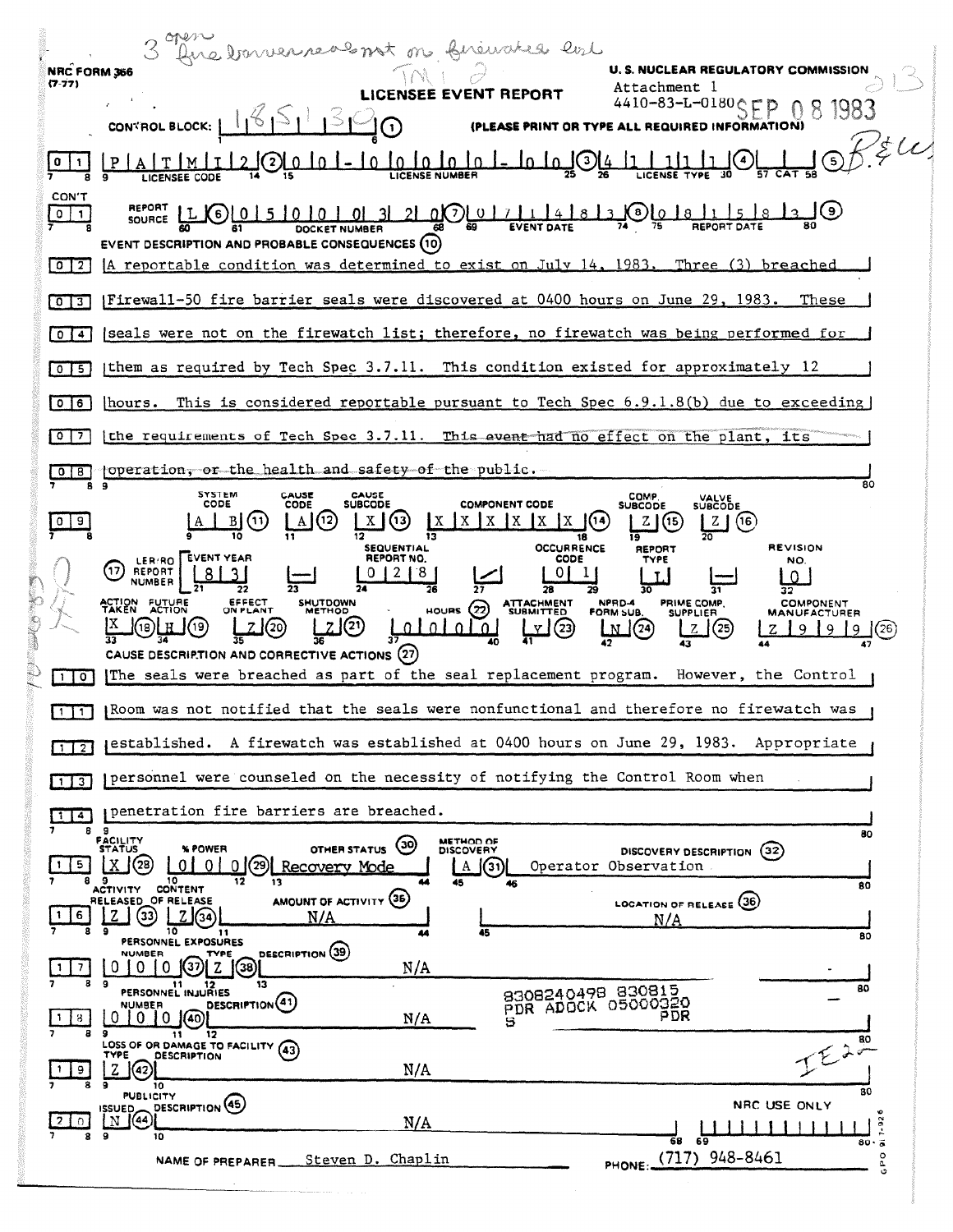|  |                                          | Ane tournameals not on financies evil                                                                                                                                                                                                                                |
|--|------------------------------------------|----------------------------------------------------------------------------------------------------------------------------------------------------------------------------------------------------------------------------------------------------------------------|
|  | <b>NRC FORM 366</b><br>(7.77)            | <b>U.S. NUCLEAR REGULATORY COMMISSION</b><br>Attachment l<br>EE EVENT REPORT                                                                                                                                                                                         |
|  |                                          | $10 - 83 - L - 0180$<br>CONTROL BLOCK:<br><b>ED INFORMATION)</b><br>ASE PRINT OR TYPE                                                                                                                                                                                |
|  |                                          | B/K<br><b>LICENSE NUMBER</b>                                                                                                                                                                                                                                         |
|  | <b>CON'T</b><br>$\circ$                  | <b>REPORT</b><br>0(7)017114<br>8)<br>1018<br>$\left( 6 \right)$<br>SOURCE<br>EVENT DESCRIPTION AND PROBABLE CONSEQUENCES (10)                                                                                                                                        |
|  | 0   2                                    | [A reportable condition was determined to exist on July 14, 1983. Three (3) breached                                                                                                                                                                                 |
|  | 0 <sup>13</sup>                          | [Firewall-50 fire barrier seals were discovered at 0400 hours on June 29, 1983.<br>These                                                                                                                                                                             |
|  | $0$ $14$                                 | seals were not on the firewatch list; therefore, no firewatch was being performed for                                                                                                                                                                                |
|  | $0$   5                                  | them as required by Tech Spec $3.7.11$ . This condition existed for approximately 12                                                                                                                                                                                 |
|  | 0   6                                    | This is considered reportable pursuant to Tech Spec $6.9.1.8(b)$ due to exceeding<br> hours.                                                                                                                                                                         |
|  | 017                                      | the requirements of Tech Spec 3.7.11. This event had no effect on the plant, its                                                                                                                                                                                     |
|  | 8                                        | operation, or the health and safety of the public.<br>80                                                                                                                                                                                                             |
|  | 9                                        | <b>SYSTEM</b><br>CAUSE<br><b>CAUSE</b><br>СОМР<br><b>VALVE</b><br>SUBCODE<br>CODE<br><b>COMPONENT CODE</b><br><b>SUBCODE</b><br>CODE<br>SUBCODE<br>(12)<br>$\mathbf{I} \mathbf{X}$<br>(16<br>$\mathcal{L}$                                                           |
|  |                                          | <b>OCCURRENCE</b><br><b>REVISION</b><br><b>SEQUENTIAL</b><br>REPORT<br><b>EVENT YEAR</b><br>REPORT NO.<br>CODE<br>TYPE<br>NO.<br><b>LER/RO</b><br>17<br>REPORT<br>8.<br>0                                                                                            |
|  |                                          | 29<br><b>FUTURE</b><br>EFFECT<br>ON PLANT<br><b>SHUTDOWN</b><br>NPRD-4<br>PRIME COMP.<br><b>ATTACHMENT</b><br>SUBMITTED<br>COMPONENT<br>HOURS (22)<br>METHOD<br>FORM SUB.<br><b>SUPPLIER</b><br>MANUFACTURER<br>(23<br>CAUSE DESCRIPTION AND CORRECTIVE ACTIONS (27) |
|  | $\circ$<br>11                            | The seals were breached as part of the seal replacement program.<br>However, the Control                                                                                                                                                                             |
|  | $1$ 1                                    | Room was not notified that the seals were nonfunctional and therefore no firewatch was                                                                                                                                                                               |
|  | $\sqrt{1}$                               | (established. A firewatch was established at 0400 hours on June 29, 1983. Appropriate                                                                                                                                                                                |
|  | $1 \mid 3 \mid$                          | personnel were counseled on the necessity of notifying the Control Room when                                                                                                                                                                                         |
|  | $1$ $4$<br>8                             | penetration fire barriers are breached.<br>-9<br>80                                                                                                                                                                                                                  |
|  | -5<br>я                                  | FACILITY<br>STATUS<br>METHOD OF<br>$\circ$<br>% POWER<br>OTHER STATUS<br>DISCOVERY<br>DISCOVERY DESCRIPTION (32)<br>(28)<br>0101<br>0(29)<br>Recovery Mode<br>Operator Observation<br>(31)<br>A<br>- 9<br>10<br>12<br>13<br>45<br>46<br>80                           |
|  | 6                                        | ACTIVITY CONTENT<br>AMOUNT OF ACTIVITY (36)<br>RELEASED_OF RELEASE<br>LOCATION OF RELEASE (36)<br>33<br>N/A<br>N/A<br>10<br>9<br>45<br>11<br>44<br>80                                                                                                                |
|  |                                          | PERSONNEL EXPOSURES<br>DESCRIPTION (39)<br>NUMBER<br>TYPE<br>(37)<br>N/A<br>0<br>0<br>(38)                                                                                                                                                                           |
|  | 8                                        | 9<br>13<br>-11<br>11 12<br>PERSONNEL INJURIES<br>80<br>8308240498 830815<br>DESCRIPTION <sup>(41)</sup><br>PDR ADOCK 05000320<br>NUMBER<br>PDR<br>$0 10$ (40)<br>N/A<br>U<br>5                                                                                       |
|  | $\begin{array}{c} \boxed{9} \end{array}$ | 12<br>11<br>$I^{\epsilon\lambda\frac{\pi}{2}}$<br>LOSS OF OR DAMAGE TO FACILITY (43)<br><b>DESCRIPTION</b><br>TYPE<br>(42)<br>N/A<br>z<br>9                                                                                                                          |
|  | $\Omega$                                 | 10<br>80<br><b>PUBLICITY</b><br>DESCRIPTION (45)<br>NRC USE ONLY<br>$\begin{array}{c}\n \text{issuper} \\ \text{or } (44)\n \end{array}$<br>N/A                                                                                                                      |
|  | 8                                        | $7 - 92$<br>9<br>10<br>-69<br>68<br>$80 \cdot 6$<br>948-8461<br>$\circ$<br>Steven D. Chaplin                                                                                                                                                                         |
|  |                                          | PHONE: (717)<br>NAME OF PREPARER.<br>a                                                                                                                                                                                                                               |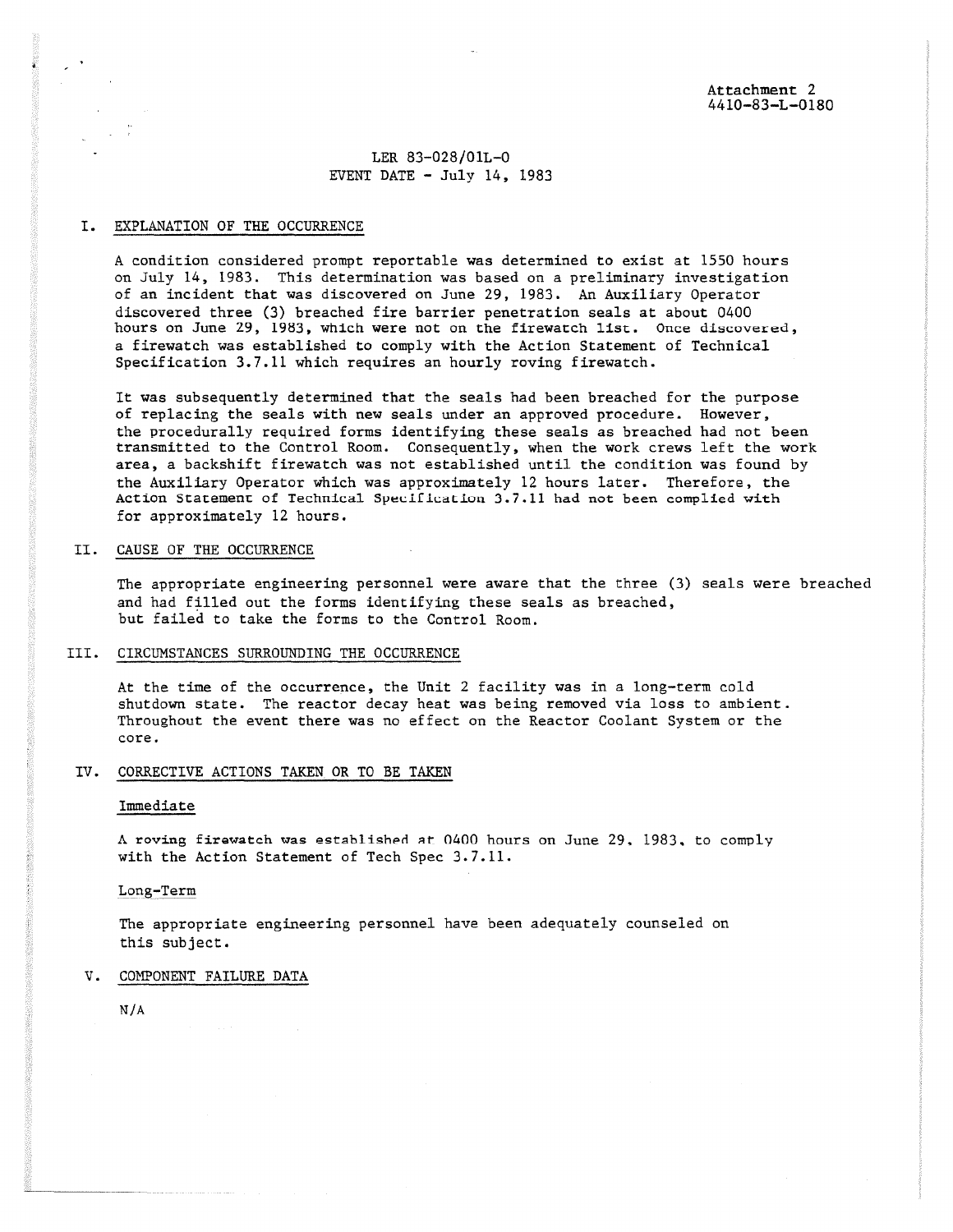LER 83-028/01L-0 EVENT DATE  $-$  July 14, 1983

## I. EXPLANATION OF THE OCCURRENCE

A condition considered prompt reportable was determined to exist at 1550 hours on July 14, 1983. This determination was based on a preliminary investigation of an incident that was discovered on June 29, 1983. An Auxiliary Operator discovered three (3) breached fire barrier penetration seals at about 0400 hours on June 29, 1983, which were not on the firewatch list. Once discovered, a firewatch was established to comply with the Action Statement of Technical Specification 3.7.11 which requires an hourly roving firewatch.

It was subsequently determined that the **seals** had been breached for the purpose of replacing the seals with new seals under an approved procedure. However, the procedurally required forms identifying these seals as breached had not been transmitted to the Control Room. Consequently, when the work crews left the work area, a backshift firewatch was not established until the condition was found by the Auxiliary Operator which was approximately 12 hours later. Therefore, the Action Statement of Technical Specificatiuu 3.7.11 had not been complied with for approximately 12 hours.

## II. CAUSE OF THE OCCURRENCE

The appropriate engineering personnel were aware that the three (3) seals were breached and had filled out the forms identifying these seals as breached, but failed to take the forms to the Control Room.

#### III. CIRCUMSTANCES SURROUNDING THE OCCURRENCE

At the time of the occurrence, the Unit 2 facility was in a long-term cold shutdown state. The reactor decay heat was being removed via loss to ambient. Throughout the event there was no effect on the Reactor Coolant System or the core.

## IV. CORRECTIVE ACTIONS TAKEN OR TO BE TAKEN

#### Immediate

A roving firewatch was established at 0400 hours on June 29, 1983. to comply with the Action Statement of Tech Spec 3.7.11.

#### Long-Term

The appropriate engineering personnel have been adequately counseled on this subject.

# V. COMPONENT FAILURE DATA

N/A